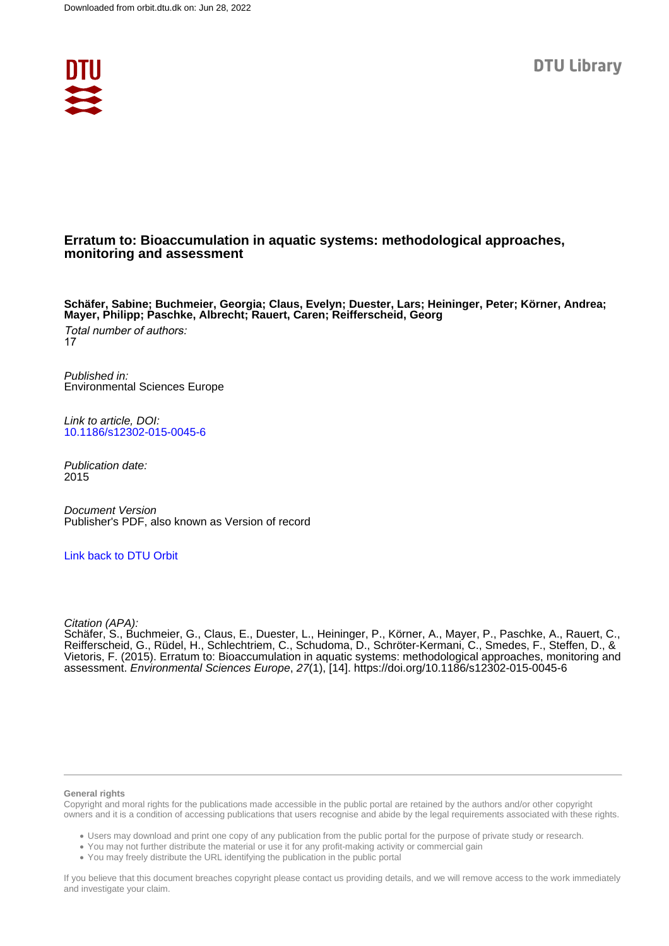

# **Erratum to: Bioaccumulation in aquatic systems: methodological approaches, monitoring and assessment**

**Schäfer, Sabine; Buchmeier, Georgia; Claus, Evelyn; Duester, Lars; Heininger, Peter; Körner, Andrea; Mayer, Philipp; Paschke, Albrecht; Rauert, Caren; Reifferscheid, Georg**

Total number of authors: 17

Published in: Environmental Sciences Europe

Link to article, DOI: [10.1186/s12302-015-0045-6](https://doi.org/10.1186/s12302-015-0045-6)

Publication date: 2015

Document Version Publisher's PDF, also known as Version of record

[Link back to DTU Orbit](https://orbit.dtu.dk/en/publications/e87bace5-0c37-40f8-a43d-ad7b9da53078)

Citation (APA):

Schäfer, S., Buchmeier, G., Claus, E., Duester, L., Heininger, P., Körner, A., Mayer, P., Paschke, A., Rauert, C., Reifferscheid, G., Rüdel, H., Schlechtriem, C., Schudoma, D., Schröter-Kermani, C., Smedes, F., Steffen, D., & Vietoris, F. (2015). Erratum to: Bioaccumulation in aquatic systems: methodological approaches, monitoring and assessment. Environmental Sciences Europe, 27(1), [14]. <https://doi.org/10.1186/s12302-015-0045-6>

#### **General rights**

Copyright and moral rights for the publications made accessible in the public portal are retained by the authors and/or other copyright owners and it is a condition of accessing publications that users recognise and abide by the legal requirements associated with these rights.

Users may download and print one copy of any publication from the public portal for the purpose of private study or research.

- You may not further distribute the material or use it for any profit-making activity or commercial gain
- You may freely distribute the URL identifying the publication in the public portal

If you believe that this document breaches copyright please contact us providing details, and we will remove access to the work immediately and investigate your claim.